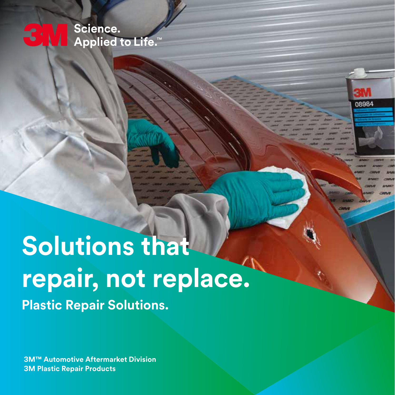Science. **Applied to Life.** 

08984

# **Solutions that repair, not replace. Plastic Repair Solutions.**

**3M™ Automotive Aftermarket Division 3M Plastic Repair Products**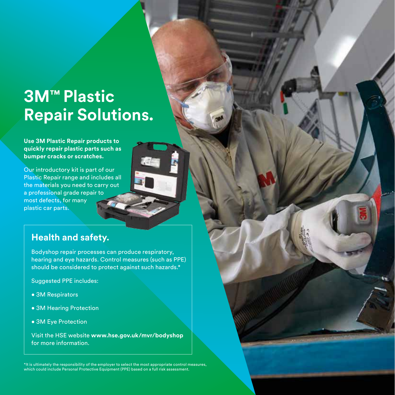## **3M™ Plastic Repair Solutions.**

**Use 3M Plastic Repair products to quickly repair plastic parts such as bumper cracks or scratches.** 

Our introductory kit is part of our Plastic Repair range and includes all the materials you need to carry out a professional grade repair to most defects, for many plastic car parts.

#### **Health and safety.**

Bodyshop repair processes can produce respiratory, hearing and eye hazards. Control measures (such as PPE) should be considered to protect against such hazards.\*

Suggested PPE includes:

- 3M Respirators
- 3M Hearing Protection
- 3M Eye Protection

Visit the HSE website **www.hse.gov.uk/mvr/bodyshop** for more information.

\*It is ultimately the responsibility of the employer to select the most appropriate control measures, which could include Personal Protective Equipment (PPE) based on a full risk assessment.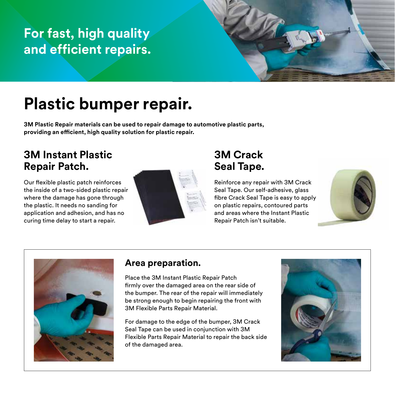## **For fast, high quality and efficient repairs.**

## **Plastic bumper repair.**

**3M Plastic Repair materials can be used to repair damage to automotive plastic parts, providing an efficient, high quality solution for plastic repair.**

#### **3M Instant Plastic Repair Patch.**

Our flexible plastic patch reinforces the inside of a two-sided plastic repair where the damage has gone through the plastic. It needs no sanding for application and adhesion, and has no curing time delay to start a repair.



#### **3M Crack Seal Tape.**

Reinforce any repair with 3M Crack Seal Tape. Our self-adhesive, glass fibre Crack Seal Tape is easy to apply on plastic repairs, contoured parts and areas where the Instant Plastic Repair Patch isn't suitable.





#### **Area preparation.**

Place the 3M Instant Plastic Repair Patch firmly over the damaged area on the rear side of the bumper. The rear of the repair will immediately be strong enough to begin repairing the front with 3M Flexible Parts Repair Material.

For damage to the edge of the bumper, 3M Crack Seal Tape can be used in conjunction with 3M Flexible Parts Repair Material to repair the back side of the damaged area.

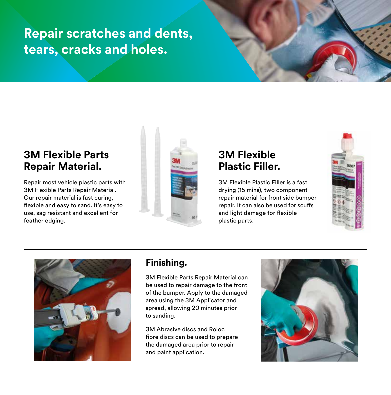## **Repair scratches and dents, tears, cracks and holes.**

#### **3M Flexible Parts Repair Material.**

Repair most vehicle plastic parts with 3M Flexible Parts Repair Material. Our repair material is fast curing, flexible and easy to sand. It's easy to use, sag resistant and excellent for feather edging.



#### **3M Flexible Plastic Filler.**

3M Flexible Plastic Filler is a fast drying (15 mins), two component repair material for front side bumper repair. It can also be used for scuffs and light damage for flexible plastic parts.





#### **Finishing.**

3M Flexible Parts Repair Material can be used to repair damage to the front of the bumper. Apply to the damaged area using the 3M Applicator and spread, allowing 20 minutes prior to sanding.

3M Abrasive discs and Roloc fibre discs can be used to prepare the damaged area prior to repair and paint application.

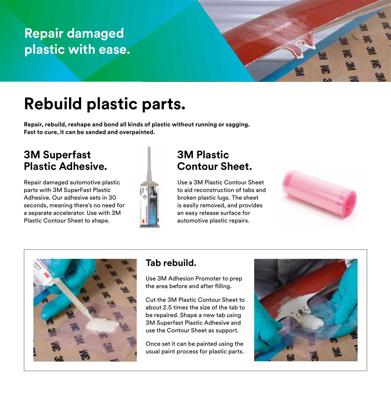## **Repair damaged plastic with ease.**

# **Rebuild plastic parts.**

**Repair, rebuild, reshape and bond all kinds of plastic without running or sagging. Fast to cure, it can be sanded and overpainted.** 

#### **3M Superfast Plastic Adhesive.**

Repair damaged automotive plastic parts with 3M SuperFast Plastic Adhesive. Our adhesive sets in 30 seconds, meaning there's no need for a separate accelerator. Use with 3M Plastic Contour Sheet to shape.



#### **3M Plastic Contour Sheet.**

Use a 3M Plastic Contour Sheet to aid reconstruction of tabs and broken plastic lugs. The sheet is easily removed, and provides an easy release surface for automotive plastic repairs.





#### **Tab rebuild.**

Use 3M Adhesion Promoter to prep the area before and after filling.

Cut the 3M Plastic Contour Sheet to about 2.5 times the size of the tab to be repaired. Shape a new tab using 3M Superfast Plastic Adhesive and use the Contour Sheet as support.

Once set it can be painted using the usual paint process for plastic parts.